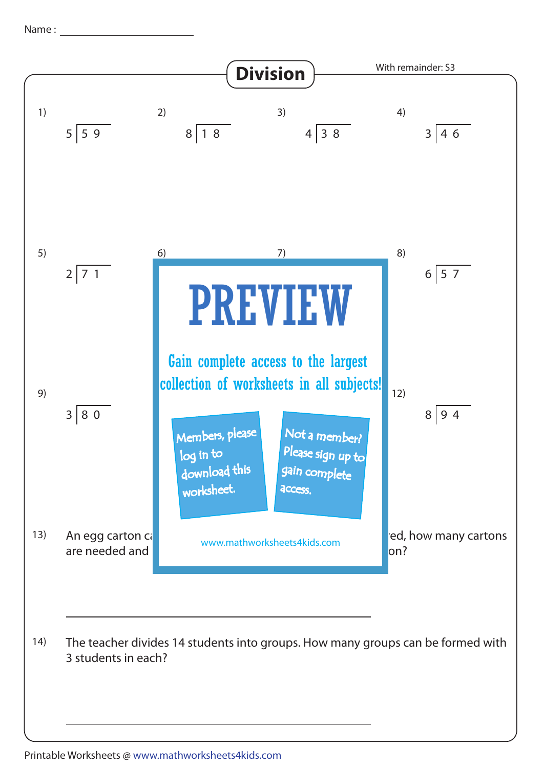